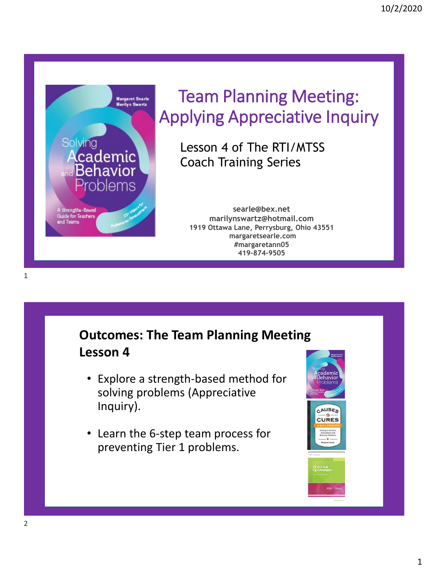

## Team Planning Meeting: Applying Appreciative Inquiry

Lesson 4 of The RTI/MTSS Coach Training Series

**searle@bex.net marilynswartz@hotmail.com 1919 Ottawa Lane, Perrysburg, Ohio 43551 margaretsearle.com #margaretann05 419-874-9505**

### **Outcomes: The Team Planning Meeting Lesson 4**

- Explore a strength-based method for solving problems (Appreciative Inquiry).
- Learn the 6-step team process for preventing Tier 1 problems.



1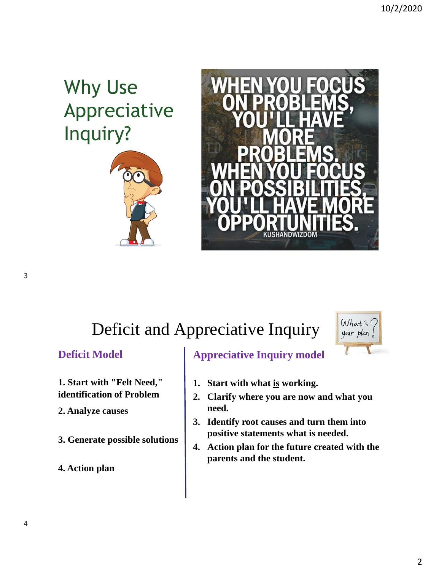# Why Use Appreciative Inquiry?





# Deficit and Appreciative Inquiry



#### **Deficit Model**

**1. Start with "Felt Need," identification of Problem**

- **2. Analyze causes**
- **3. Generate possible solutions**
- **4. Action plan**

### **Appreciative Inquiry model**

- **1. Start with what is working.**
- **2. Clarify where you are now and what you need.**
- **3. Identify root causes and turn them into positive statements what is needed.**
- **4. Action plan for the future created with the parents and the student.**

3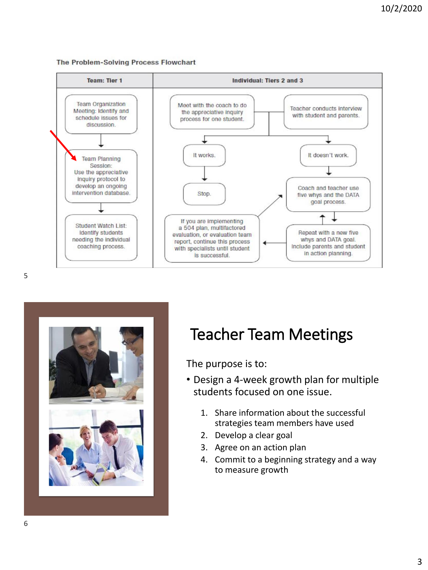





### Teacher Team Meetings

The purpose is to:

- Design a 4-week growth plan for multiple students focused on one issue.
	- 1. Share information about the successful strategies team members have used
	- 2. Develop a clear goal
	- 3. Agree on an action plan
	- 4. Commit to a beginning strategy and a way to measure growth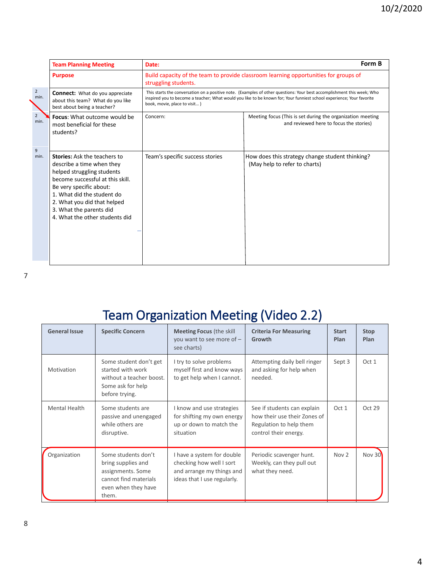|                        | <b>Team Planning Meeting</b>                                                                                                                                                                                                                                                            | Form B<br>Date:                                                                                                                                                                                                                                                                 |                                                                                                       |  |  |  |
|------------------------|-----------------------------------------------------------------------------------------------------------------------------------------------------------------------------------------------------------------------------------------------------------------------------------------|---------------------------------------------------------------------------------------------------------------------------------------------------------------------------------------------------------------------------------------------------------------------------------|-------------------------------------------------------------------------------------------------------|--|--|--|
|                        | <b>Purpose</b>                                                                                                                                                                                                                                                                          | Build capacity of the team to provide classroom learning opportunities for groups of<br>struggling students.                                                                                                                                                                    |                                                                                                       |  |  |  |
| $\overline{2}$<br>min. | <b>Connect:</b> What do you appreciate<br>about this team? What do you like<br>best about being a teacher?                                                                                                                                                                              | This starts the conversation on a positive note. (Examples of other questions: Your best accomplishment this week; Who<br>inspired you to become a teacher; What would you like to be known for; Your funniest school experience; Your favorite<br>book, movie, place to visit) |                                                                                                       |  |  |  |
| $\overline{2}$<br>min. | <b>Focus:</b> What outcome would be<br>most beneficial for these<br>students?                                                                                                                                                                                                           | Concern:                                                                                                                                                                                                                                                                        | Meeting focus (This is set during the organization meeting<br>and reviewed here to focus the stories) |  |  |  |
| 9<br>min.              | <b>Stories:</b> Ask the teachers to<br>describe a time when they<br>helped struggling students<br>become successful at this skill.<br>Be very specific about:<br>1. What did the student do<br>2. What you did that helped<br>3. What the parents did<br>4. What the other students did | Team's specific success stories                                                                                                                                                                                                                                                 | How does this strategy change student thinking?<br>(May help to refer to charts)                      |  |  |  |

## Team Organization Meeting (Video 2.2)

| <b>General Issue</b> | <b>Specific Concern</b>                                                                                                 | <b>Meeting Focus (the skill</b><br>you want to see more of $-$<br>see charts)                                      | <b>Criteria For Measuring</b><br>Growth                                                                         | <b>Start</b><br>Plan | <b>Stop</b><br>Plan |
|----------------------|-------------------------------------------------------------------------------------------------------------------------|--------------------------------------------------------------------------------------------------------------------|-----------------------------------------------------------------------------------------------------------------|----------------------|---------------------|
| Motivation           | Some student don't get<br>started with work<br>without a teacher boost.<br>Some ask for help<br>before trying.          | I try to solve problems<br>myself first and know ways<br>to get help when I cannot.                                | Attempting daily bell ringer<br>and asking for help when<br>needed.                                             | Sept 3               | Oct 1               |
| <b>Mental Health</b> | Some students are<br>passive and unengaged<br>while others are<br>disruptive.                                           | I know and use strategies<br>for shifting my own energy<br>up or down to match the<br>situation                    | See if students can explain<br>how their use their Zones of<br>Regulation to help them<br>control their energy. | Oct 1                | Oct 29              |
| Organization         | Some students don't<br>bring supplies and<br>assignments. Some<br>cannot find materials<br>even when they have<br>them. | I have a system for double<br>checking how well I sort<br>and arrange my things and<br>ideas that I use regularly. | Periodic scavenger hunt.<br>Weekly, can they pull out<br>what they need.                                        | Nov 2                | Nov $30$            |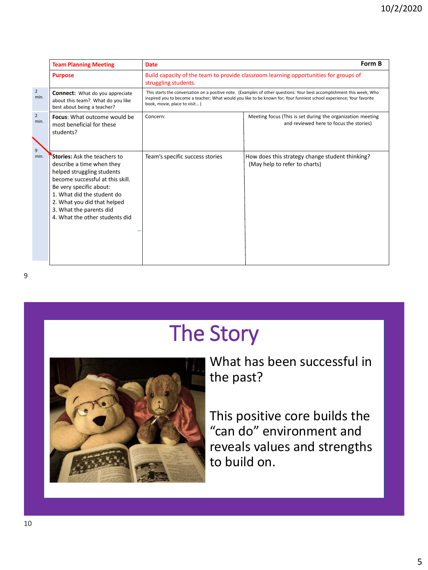|                             | <b>Team Planning Meeting</b>                                                                                                                                                                                                                                                            | <b>Date</b>                                                                                                                                                                                                                                                                     | Form B                                                                                                |  |  |  |  |
|-----------------------------|-----------------------------------------------------------------------------------------------------------------------------------------------------------------------------------------------------------------------------------------------------------------------------------------|---------------------------------------------------------------------------------------------------------------------------------------------------------------------------------------------------------------------------------------------------------------------------------|-------------------------------------------------------------------------------------------------------|--|--|--|--|
|                             | <b>Purpose</b>                                                                                                                                                                                                                                                                          | Build capacity of the team to provide classroom learning opportunities for groups of<br>struggling students.                                                                                                                                                                    |                                                                                                       |  |  |  |  |
| $2^{\circ}$<br>min.         | <b>Connect:</b> What do you appreciate<br>about this team? What do you like<br>best about being a teacher?                                                                                                                                                                              | This starts the conversation on a positive note. (Examples of other questions: Your best accomplishment this week; Who<br>inspired you to become a teacher; What would you like to be known for; Your funniest school experience; Your favorite<br>book, movie, place to visit) |                                                                                                       |  |  |  |  |
| $\overline{2}$<br>min.<br>9 | Focus: What outcome would be<br>most beneficial for these<br>students?                                                                                                                                                                                                                  | Concern:                                                                                                                                                                                                                                                                        | Meeting focus (This is set during the organization meeting<br>and reviewed here to focus the stories) |  |  |  |  |
| min.                        | <b>Stories:</b> Ask the teachers to<br>describe a time when they<br>helped struggling students<br>become successful at this skill.<br>Be very specific about:<br>1. What did the student do<br>2. What you did that helped<br>3. What the parents did<br>4. What the other students did | Team's specific success stories                                                                                                                                                                                                                                                 | How does this strategy change student thinking?<br>(May help to refer to charts)                      |  |  |  |  |

# The Story



What has been successful in the past?

This positive core builds the "can do" environment and reveals values and strengths to build on.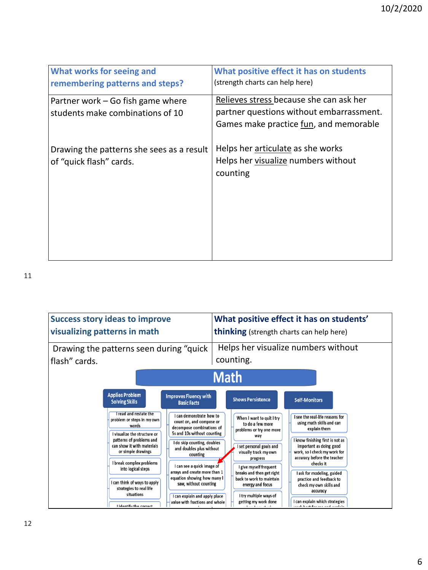| What works for seeing and<br>remembering patterns and steps?          | What positive effect it has on students<br>(strength charts can help here)                                                    |
|-----------------------------------------------------------------------|-------------------------------------------------------------------------------------------------------------------------------|
| Partner work – Go fish game where<br>students make combinations of 10 | Relieves stress because she can ask her<br>partner questions without embarrassment.<br>Games make practice fun, and memorable |
| Drawing the patterns she sees as a result<br>of "quick flash" cards.  | Helps her articulate as she works<br>Helps her visualize numbers without<br>counting                                          |

11

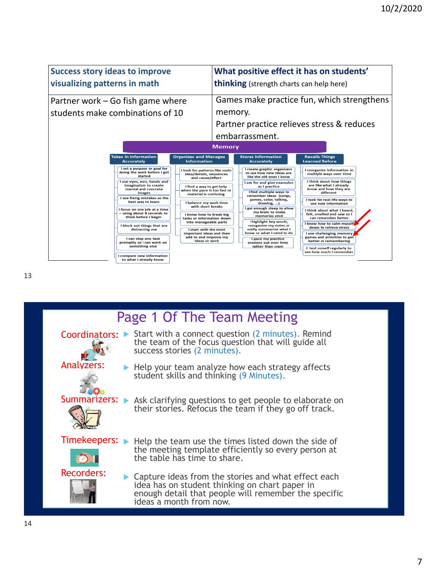

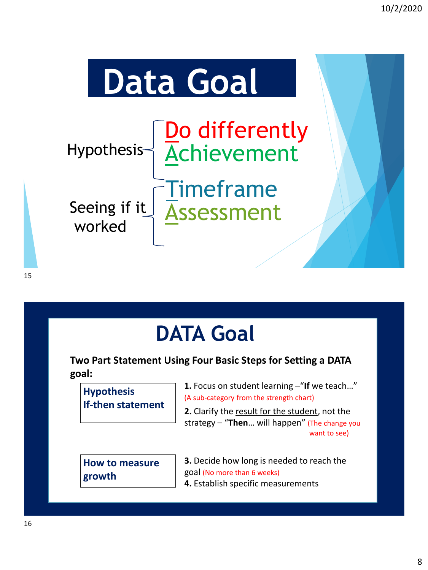

# **DATA Goal**

**Two Part Statement Using Four Basic Steps for Setting a DATA goal:**

| <b>Hypothesis</b>        |
|--------------------------|
| <b>If-then statement</b> |

**1.** Focus on student learning –"**If** we teach…" (A sub-category from the strength chart)

**2.** Clarify the result for the student, not the strategy – "**Then**… will happen" (The change you want to see)

|        | <b>How to measure</b> |
|--------|-----------------------|
| growth |                       |

**3.** Decide how long is needed to reach the goal (No more than 6 weeks) **4.** Establish specific measurements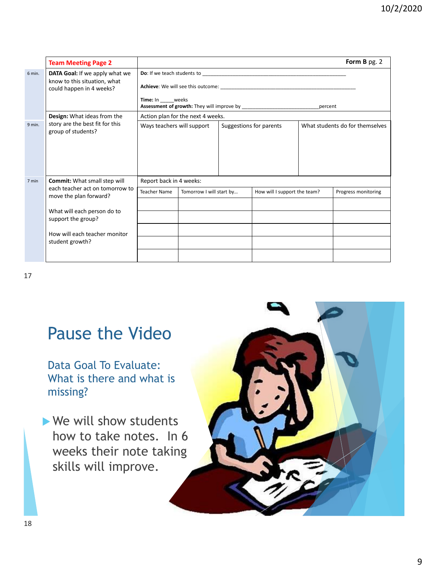|        | <b>Team Meeting Page 2</b>                                                                 |                                                                        |                                   |                         |                              |  | Form B pg. 2                    |
|--------|--------------------------------------------------------------------------------------------|------------------------------------------------------------------------|-----------------------------------|-------------------------|------------------------------|--|---------------------------------|
| 6 min. | DATA Goal: If we apply what we<br>know to this situation, what<br>could happen in 4 weeks? | <b>Achieve:</b> We will see this outcome:<br>Time: In weeks<br>percent |                                   |                         |                              |  |                                 |
|        | Design: What ideas from the                                                                |                                                                        | Action plan for the next 4 weeks. |                         |                              |  |                                 |
| 9 min. | story are the best fit for this<br>group of students?                                      | Ways teachers will support                                             |                                   | Suggestions for parents |                              |  | What students do for themselves |
| 7 min  | <b>Commit:</b> What small step will                                                        | Report back in 4 weeks:                                                |                                   |                         |                              |  |                                 |
|        | each teacher act on tomorrow to<br>move the plan forward?                                  | <b>Teacher Name</b>                                                    | Tomorrow I will start by          |                         | How will I support the team? |  | Progress monitoring             |
|        |                                                                                            |                                                                        |                                   |                         |                              |  |                                 |
|        | What will each person do to<br>support the group?                                          |                                                                        |                                   |                         |                              |  |                                 |
|        | How will each teacher monitor                                                              |                                                                        |                                   |                         |                              |  |                                 |
|        | student growth?                                                                            |                                                                        |                                   |                         |                              |  |                                 |
|        |                                                                                            |                                                                        |                                   |                         |                              |  |                                 |

17

## Pause the Video

Data Goal To Evaluate: What is there and what is missing?

▶ We will show students how to take notes. In 6 weeks their note taking skills will improve.

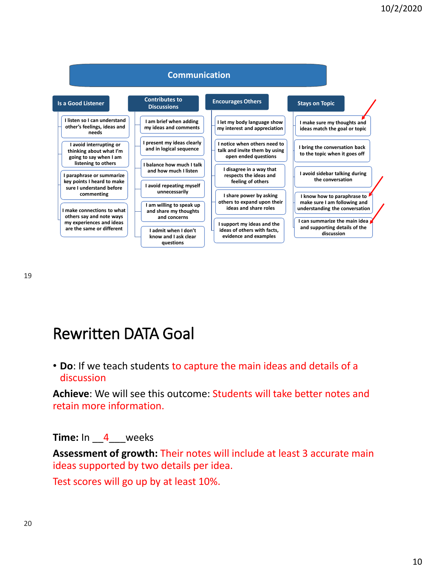

## Rewritten DATA Goal

• **Do**: If we teach students to capture the main ideas and details of a discussion

**Achieve**: We will see this outcome: Students will take better notes and retain more information.

**Time:** In 4 weeks

**Assessment of growth:** Their notes will include at least 3 accurate main ideas supported by two details per idea.

Test scores will go up by at least 10%.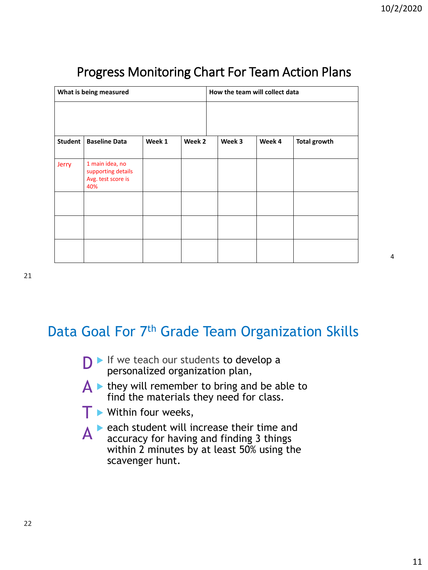4

| What is being measured |                                                                    |        |        | How the team will collect data |        |                     |
|------------------------|--------------------------------------------------------------------|--------|--------|--------------------------------|--------|---------------------|
|                        |                                                                    |        |        |                                |        |                     |
| Student                | <b>Baseline Data</b>                                               | Week 1 | Week 2 | Week 3                         | Week 4 | <b>Total growth</b> |
| Jerry                  | 1 main idea, no<br>supporting details<br>Avg. test score is<br>40% |        |        |                                |        |                     |
|                        |                                                                    |        |        |                                |        |                     |
|                        |                                                                    |        |        |                                |        |                     |
|                        |                                                                    |        |        |                                |        |                     |

### Progress Monitoring Chart For Team Action Plans

### Data Goal For 7<sup>th</sup> Grade Team Organization Skills

- $D \triangleright$  If we teach our students to develop a personalized organization plan personalized organization plan,
- $\overrightarrow{A}$   $\rightarrow$  they will remember to bring and be able to find the materials they need for class.
- **T** Within four weeks,
- $A^*$  each student will increase their time and accuracy for having and finding 3 things accuracy for having and finding 3 things within 2 minutes by at least 50% using the scavenger hunt.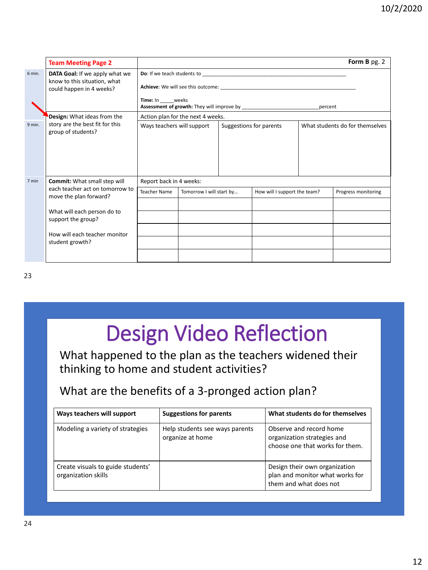|        | <b>Team Meeting Page 2</b>                                                                 |                                                                 |                                                          |                         |  |                     | Form B pg. 2                    |
|--------|--------------------------------------------------------------------------------------------|-----------------------------------------------------------------|----------------------------------------------------------|-------------------------|--|---------------------|---------------------------------|
| 6 min. | DATA Goal: If we apply what we<br>know to this situation, what<br>could happen in 4 weeks? | <b>Do:</b> If we teach students to<br>Time: In weeks<br>percent |                                                          |                         |  |                     |                                 |
|        | Design: What ideas from the                                                                |                                                                 | Action plan for the next 4 weeks.                        |                         |  |                     |                                 |
| 9 min. | story are the best fit for this<br>group of students?                                      | Ways teachers will support                                      |                                                          | Suggestions for parents |  |                     | What students do for themselves |
| 7 min  | <b>Commit:</b> What small step will                                                        | Report back in 4 weeks:                                         |                                                          |                         |  |                     |                                 |
|        | each teacher act on tomorrow to<br>move the plan forward?                                  | <b>Teacher Name</b>                                             | Tomorrow I will start by<br>How will I support the team? |                         |  | Progress monitoring |                                 |
|        |                                                                                            |                                                                 |                                                          |                         |  |                     |                                 |
|        | What will each person do to<br>support the group?                                          |                                                                 |                                                          |                         |  |                     |                                 |
|        | How will each teacher monitor                                                              |                                                                 |                                                          |                         |  |                     |                                 |
|        | student growth?                                                                            |                                                                 |                                                          |                         |  |                     |                                 |
|        |                                                                                            |                                                                 |                                                          |                         |  |                     |                                 |

# Design Video Reflection

#### What happened to the plan as the teachers widened their thinking to home and student activities?

### What are the benefits of a 3-pronged action plan?

| Ways teachers will support                               | <b>Suggestions for parents</b>                     | What students do for themselves                                                            |
|----------------------------------------------------------|----------------------------------------------------|--------------------------------------------------------------------------------------------|
| Modeling a variety of strategies                         | Help students see ways parents<br>organize at home | Observe and record home<br>organization strategies and<br>choose one that works for them.  |
| Create visuals to guide students'<br>organization skills |                                                    | Design their own organization<br>plan and monitor what works for<br>them and what does not |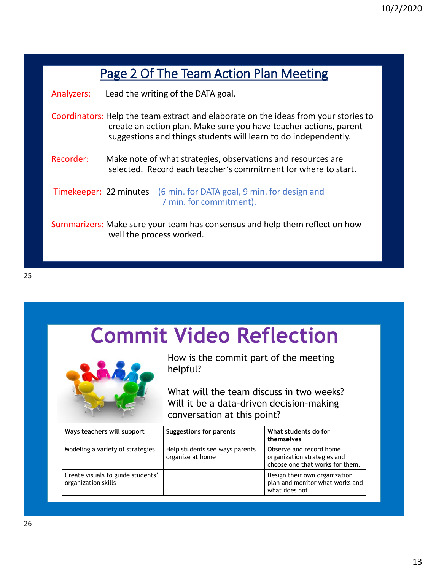|            | Page 2 Of The Team Action Plan Meeting                                                                                                                                                                                      |  |  |  |  |  |
|------------|-----------------------------------------------------------------------------------------------------------------------------------------------------------------------------------------------------------------------------|--|--|--|--|--|
| Analyzers: | Lead the writing of the DATA goal.                                                                                                                                                                                          |  |  |  |  |  |
|            | Coordinators: Help the team extract and elaborate on the ideas from your stories to<br>create an action plan. Make sure you have teacher actions, parent<br>suggestions and things students will learn to do independently. |  |  |  |  |  |
| Recorder:  | Make note of what strategies, observations and resources are<br>selected. Record each teacher's commitment for where to start.                                                                                              |  |  |  |  |  |
|            | <b>Timekeeper: 22 minutes – (6 min. for DATA goal, 9 min. for design and</b><br>7 min. for commitment).                                                                                                                     |  |  |  |  |  |
|            | Summarizers: Make sure your team has consensus and help them reflect on how<br>well the process worked.                                                                                                                     |  |  |  |  |  |